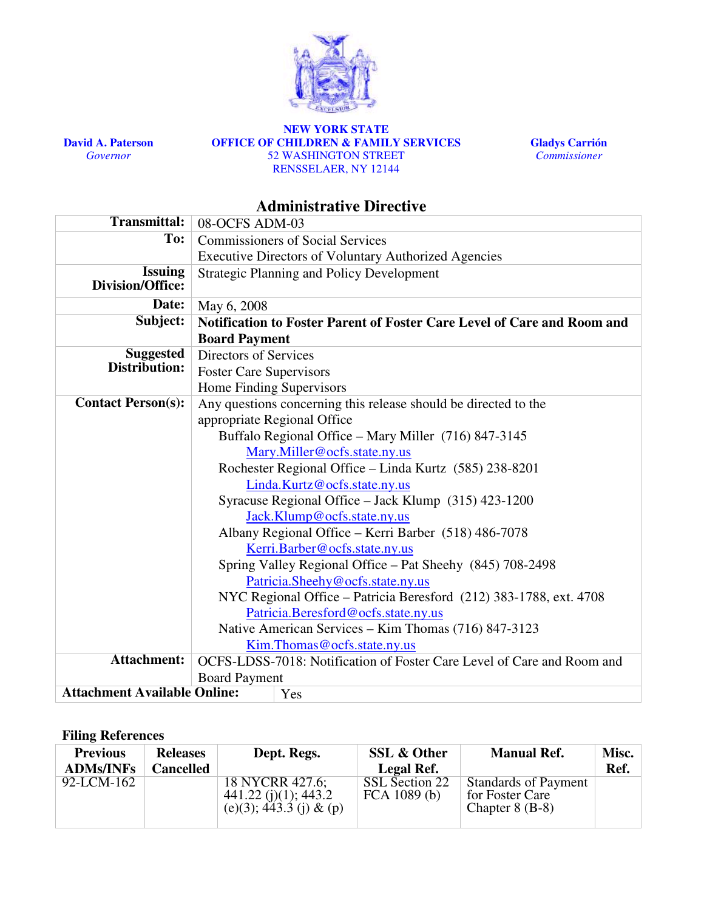

David A. Paterson Governor

#### NEW YORK STATE OFFICE OF CHILDREN & FAMILY SERVICES 52 WASHINGTON STREET RENSSELAER, NY 12144



# Administrative Directive

| <b>Transmittal:</b>                 | 08-OCFS ADM-03                                                                                                                                                                                                                                                                                                                     |                                                                        |  |  |  |  |
|-------------------------------------|------------------------------------------------------------------------------------------------------------------------------------------------------------------------------------------------------------------------------------------------------------------------------------------------------------------------------------|------------------------------------------------------------------------|--|--|--|--|
| To:                                 | <b>Commissioners of Social Services</b>                                                                                                                                                                                                                                                                                            |                                                                        |  |  |  |  |
|                                     | <b>Executive Directors of Voluntary Authorized Agencies</b>                                                                                                                                                                                                                                                                        |                                                                        |  |  |  |  |
| <b>Issuing</b><br>Division/Office:  | <b>Strategic Planning and Policy Development</b>                                                                                                                                                                                                                                                                                   |                                                                        |  |  |  |  |
| Date:                               | May 6, 2008                                                                                                                                                                                                                                                                                                                        |                                                                        |  |  |  |  |
| Subject:                            | Notification to Foster Parent of Foster Care Level of Care and Room and                                                                                                                                                                                                                                                            |                                                                        |  |  |  |  |
|                                     | <b>Board Payment</b>                                                                                                                                                                                                                                                                                                               |                                                                        |  |  |  |  |
| <b>Suggested</b><br>Distribution:   | Directors of Services                                                                                                                                                                                                                                                                                                              |                                                                        |  |  |  |  |
|                                     | <b>Foster Care Supervisors</b>                                                                                                                                                                                                                                                                                                     |                                                                        |  |  |  |  |
|                                     | Home Finding Supervisors                                                                                                                                                                                                                                                                                                           |                                                                        |  |  |  |  |
| <b>Contact Person(s):</b>           | Any questions concerning this release should be directed to the<br>appropriate Regional Office                                                                                                                                                                                                                                     |                                                                        |  |  |  |  |
|                                     |                                                                                                                                                                                                                                                                                                                                    |                                                                        |  |  |  |  |
|                                     | Buffalo Regional Office - Mary Miller (716) 847-3145                                                                                                                                                                                                                                                                               |                                                                        |  |  |  |  |
|                                     | Mary.Miller@ocfs.state.ny.us                                                                                                                                                                                                                                                                                                       |                                                                        |  |  |  |  |
|                                     | Rochester Regional Office - Linda Kurtz (585) 238-8201                                                                                                                                                                                                                                                                             |                                                                        |  |  |  |  |
|                                     | Linda.Kurtz@ocfs.state.ny.us                                                                                                                                                                                                                                                                                                       |                                                                        |  |  |  |  |
|                                     | Syracuse Regional Office - Jack Klump (315) 423-1200                                                                                                                                                                                                                                                                               |                                                                        |  |  |  |  |
|                                     | Jack.Klump@ocfs.state.ny.us<br>Albany Regional Office - Kerri Barber (518) 486-7078<br>Kerri.Barber@ocfs.state.ny.us<br>Spring Valley Regional Office - Pat Sheehy (845) 708-2498<br>Patricia.Sheehy@ocfs.state.ny.us<br>NYC Regional Office – Patricia Beresford (212) 383-1788, ext. 4708<br>Patricia.Beresford@ocfs.state.ny.us |                                                                        |  |  |  |  |
|                                     |                                                                                                                                                                                                                                                                                                                                    |                                                                        |  |  |  |  |
|                                     |                                                                                                                                                                                                                                                                                                                                    |                                                                        |  |  |  |  |
|                                     |                                                                                                                                                                                                                                                                                                                                    |                                                                        |  |  |  |  |
|                                     |                                                                                                                                                                                                                                                                                                                                    |                                                                        |  |  |  |  |
|                                     |                                                                                                                                                                                                                                                                                                                                    |                                                                        |  |  |  |  |
|                                     |                                                                                                                                                                                                                                                                                                                                    |                                                                        |  |  |  |  |
|                                     | Native American Services - Kim Thomas (716) 847-3123<br>Kim. Thomas @ ocfs.state.ny.us                                                                                                                                                                                                                                             |                                                                        |  |  |  |  |
|                                     |                                                                                                                                                                                                                                                                                                                                    |                                                                        |  |  |  |  |
| Attachment:                         |                                                                                                                                                                                                                                                                                                                                    | OCFS-LDSS-7018: Notification of Foster Care Level of Care and Room and |  |  |  |  |
|                                     | <b>Board Payment</b>                                                                                                                                                                                                                                                                                                               |                                                                        |  |  |  |  |
| <b>Attachment Available Online:</b> |                                                                                                                                                                                                                                                                                                                                    | Yes                                                                    |  |  |  |  |

## Filing References

| <b>Previous</b><br><b>ADMs/INFs</b> | <b>Releases</b><br><b>Cancelled</b> | Dept. Regs.                                                          | <b>SSL &amp; Other</b><br>Legal Ref. | <b>Manual Ref.</b>                                                  | Misc.<br>Ref. |
|-------------------------------------|-------------------------------------|----------------------------------------------------------------------|--------------------------------------|---------------------------------------------------------------------|---------------|
| 92-LCM-162                          |                                     | 18 NYCRR 427.6;<br>$441.22$ (j)(1); 443.2<br>(e)(3); 443.3 (j) & (p) | SSL Section 22<br>FCA $1089(b)$      | <b>Standards of Payment</b><br>for Foster Care<br>Chapter $8$ (B-8) |               |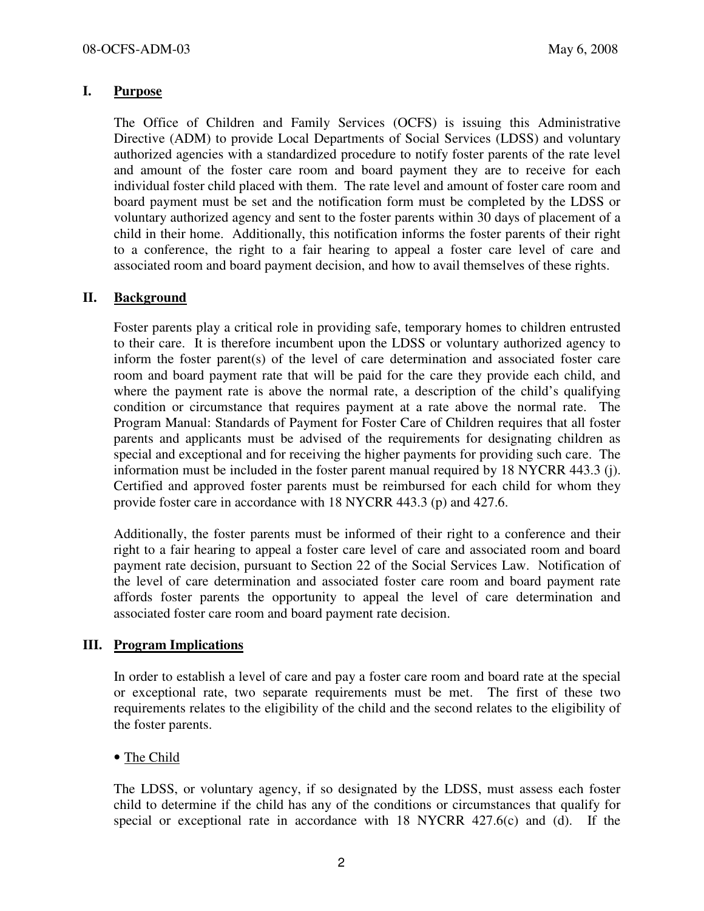## I. Purpose

The Office of Children and Family Services (OCFS) is issuing this Administrative Directive (ADM) to provide Local Departments of Social Services (LDSS) and voluntary authorized agencies with a standardized procedure to notify foster parents of the rate level and amount of the foster care room and board payment they are to receive for each individual foster child placed with them. The rate level and amount of foster care room and board payment must be set and the notification form must be completed by the LDSS or voluntary authorized agency and sent to the foster parents within 30 days of placement of a child in their home. Additionally, this notification informs the foster parents of their right to a conference, the right to a fair hearing to appeal a foster care level of care and associated room and board payment decision, and how to avail themselves of these rights.

## II. Background

Foster parents play a critical role in providing safe, temporary homes to children entrusted to their care. It is therefore incumbent upon the LDSS or voluntary authorized agency to inform the foster parent(s) of the level of care determination and associated foster care room and board payment rate that will be paid for the care they provide each child, and where the payment rate is above the normal rate, a description of the child's qualifying condition or circumstance that requires payment at a rate above the normal rate. The Program Manual: Standards of Payment for Foster Care of Children requires that all foster parents and applicants must be advised of the requirements for designating children as special and exceptional and for receiving the higher payments for providing such care. The information must be included in the foster parent manual required by 18 NYCRR 443.3 (j). Certified and approved foster parents must be reimbursed for each child for whom they provide foster care in accordance with 18 NYCRR 443.3 (p) and 427.6.

Additionally, the foster parents must be informed of their right to a conference and their right to a fair hearing to appeal a foster care level of care and associated room and board payment rate decision, pursuant to Section 22 of the Social Services Law. Notification of the level of care determination and associated foster care room and board payment rate affords foster parents the opportunity to appeal the level of care determination and associated foster care room and board payment rate decision.

#### III. Program Implications

In order to establish a level of care and pay a foster care room and board rate at the special or exceptional rate, two separate requirements must be met. The first of these two requirements relates to the eligibility of the child and the second relates to the eligibility of the foster parents.

## • The Child

The LDSS, or voluntary agency, if so designated by the LDSS, must assess each foster child to determine if the child has any of the conditions or circumstances that qualify for special or exceptional rate in accordance with 18 NYCRR 427.6(c) and (d). If the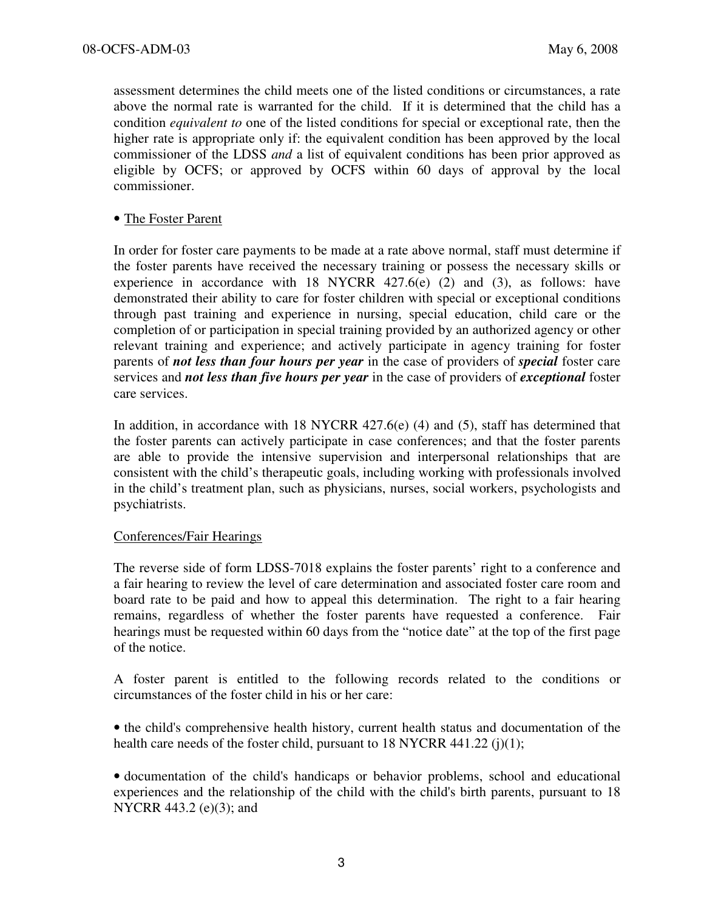assessment determines the child meets one of the listed conditions or circumstances, a rate above the normal rate is warranted for the child. If it is determined that the child has a condition equivalent to one of the listed conditions for special or exceptional rate, then the higher rate is appropriate only if: the equivalent condition has been approved by the local commissioner of the LDSS and a list of equivalent conditions has been prior approved as eligible by OCFS; or approved by OCFS within 60 days of approval by the local commissioner.

#### • The Foster Parent

In order for foster care payments to be made at a rate above normal, staff must determine if the foster parents have received the necessary training or possess the necessary skills or experience in accordance with 18 NYCRR 427.6(e) (2) and (3), as follows: have demonstrated their ability to care for foster children with special or exceptional conditions through past training and experience in nursing, special education, child care or the completion of or participation in special training provided by an authorized agency or other relevant training and experience; and actively participate in agency training for foster parents of *not less than four hours per year* in the case of providers of *special* foster care services and *not less than five hours per year* in the case of providers of *exceptional* foster care services.

In addition, in accordance with 18 NYCRR 427.6(e) (4) and (5), staff has determined that the foster parents can actively participate in case conferences; and that the foster parents are able to provide the intensive supervision and interpersonal relationships that are consistent with the child's therapeutic goals, including working with professionals involved in the child's treatment plan, such as physicians, nurses, social workers, psychologists and psychiatrists.

#### Conferences/Fair Hearings

The reverse side of form LDSS-7018 explains the foster parents' right to a conference and a fair hearing to review the level of care determination and associated foster care room and board rate to be paid and how to appeal this determination. The right to a fair hearing remains, regardless of whether the foster parents have requested a conference. Fair hearings must be requested within 60 days from the "notice date" at the top of the first page of the notice.

A foster parent is entitled to the following records related to the conditions or circumstances of the foster child in his or her care:

• the child's comprehensive health history, current health status and documentation of the health care needs of the foster child, pursuant to  $18$  NYCRR 441.22 (j)(1);

• documentation of the child's handicaps or behavior problems, school and educational experiences and the relationship of the child with the child's birth parents, pursuant to 18 NYCRR 443.2 (e)(3); and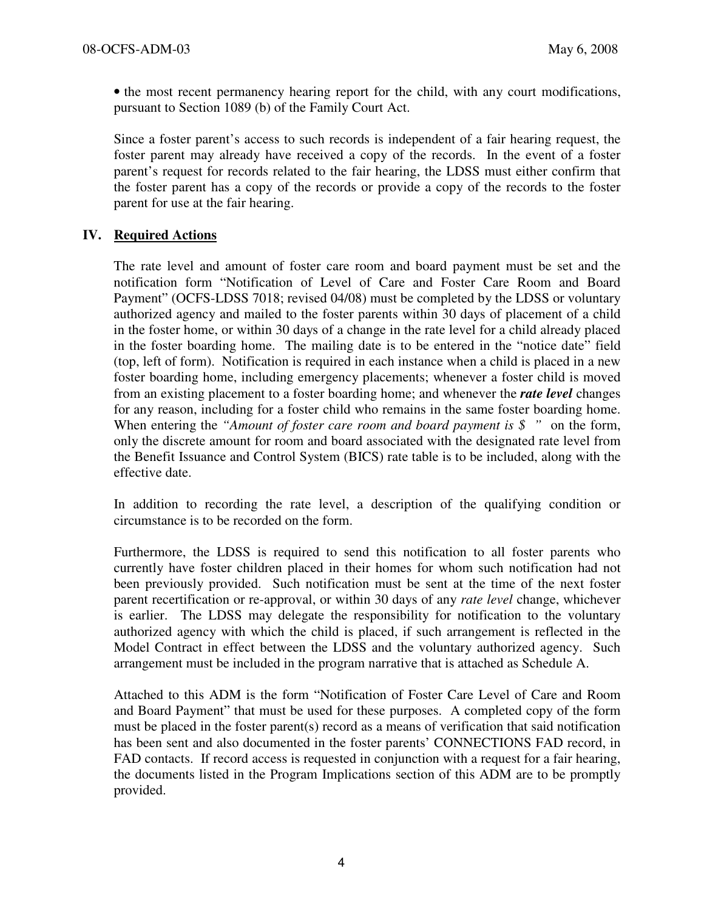• the most recent permanency hearing report for the child, with any court modifications, pursuant to Section 1089 (b) of the Family Court Act.

Since a foster parent's access to such records is independent of a fair hearing request, the foster parent may already have received a copy of the records. In the event of a foster parent's request for records related to the fair hearing, the LDSS must either confirm that the foster parent has a copy of the records or provide a copy of the records to the foster parent for use at the fair hearing.

## IV. Required Actions

The rate level and amount of foster care room and board payment must be set and the notification form "Notification of Level of Care and Foster Care Room and Board Payment" (OCFS-LDSS 7018; revised 04/08) must be completed by the LDSS or voluntary authorized agency and mailed to the foster parents within 30 days of placement of a child in the foster home, or within 30 days of a change in the rate level for a child already placed in the foster boarding home. The mailing date is to be entered in the "notice date" field (top, left of form). Notification is required in each instance when a child is placed in a new foster boarding home, including emergency placements; whenever a foster child is moved from an existing placement to a foster boarding home; and whenever the **rate level** changes for any reason, including for a foster child who remains in the same foster boarding home. When entering the "Amount of foster care room and board payment is  $\delta$ " on the form, only the discrete amount for room and board associated with the designated rate level from the Benefit Issuance and Control System (BICS) rate table is to be included, along with the effective date.

In addition to recording the rate level, a description of the qualifying condition or circumstance is to be recorded on the form.

Furthermore, the LDSS is required to send this notification to all foster parents who currently have foster children placed in their homes for whom such notification had not been previously provided. Such notification must be sent at the time of the next foster parent recertification or re-approval, or within 30 days of any rate level change, whichever is earlier. The LDSS may delegate the responsibility for notification to the voluntary authorized agency with which the child is placed, if such arrangement is reflected in the Model Contract in effect between the LDSS and the voluntary authorized agency. Such arrangement must be included in the program narrative that is attached as Schedule A.

Attached to this ADM is the form "Notification of Foster Care Level of Care and Room and Board Payment" that must be used for these purposes. A completed copy of the form must be placed in the foster parent(s) record as a means of verification that said notification has been sent and also documented in the foster parents' CONNECTIONS FAD record, in FAD contacts. If record access is requested in conjunction with a request for a fair hearing, the documents listed in the Program Implications section of this ADM are to be promptly provided.